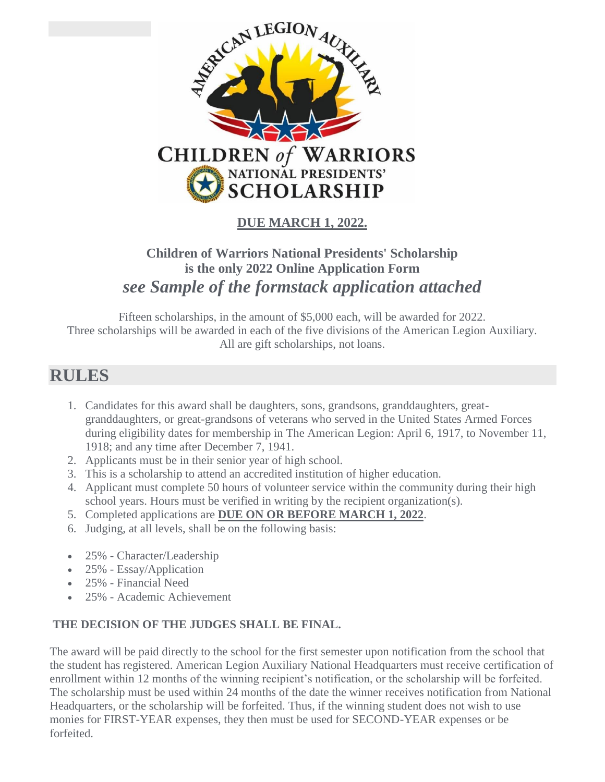

### **DUE MARCH 1, 2022.**

## **Children of Warriors National Presidents' Scholarship is the only 2022 Online Application Form**  *see Sample of the formstack application attached*

Fifteen scholarships, in the amount of \$5,000 each, will be awarded for 2022. Three scholarships will be awarded in each of the five divisions of the American Legion Auxiliary. All are gift scholarships, not loans.

## **RULES**

- 1. Candidates for this award shall be daughters, sons, grandsons, granddaughters, greatgranddaughters, or great-grandsons of veterans who served in the United States Armed Forces during eligibility dates for membership in The American Legion: April 6, 1917, to November 11, 1918; and any time after December 7, 1941.
- 2. Applicants must be in their senior year of high school.
- 3. This is a scholarship to attend an accredited institution of higher education.
- 4. Applicant must complete 50 hours of volunteer service within the community during their high school years. Hours must be verified in writing by the recipient organization(s).
- 5. Completed applications are **DUE ON OR BEFORE MARCH 1, 2022**.
- 6. Judging, at all levels, shall be on the following basis:
- 25% Character/Leadership
- 25% Essay/Application
- 25% Financial Need
- 25% Academic Achievement

#### **THE DECISION OF THE JUDGES SHALL BE FINAL.**

The award will be paid directly to the school for the first semester upon notification from the school that the student has registered. American Legion Auxiliary National Headquarters must receive certification of enrollment within 12 months of the winning recipient's notification, or the scholarship will be forfeited. The scholarship must be used within 24 months of the date the winner receives notification from National Headquarters, or the scholarship will be forfeited. Thus, if the winning student does not wish to use monies for FIRST-YEAR expenses, they then must be used for SECOND-YEAR expenses or be forfeited.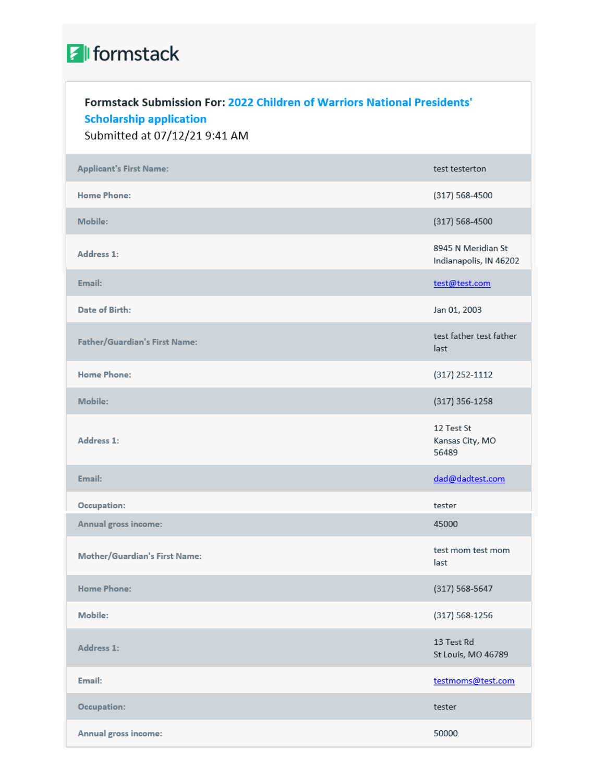# **A** formstack

## Formstack Submission For: 2022 Children of Warriors National Presidents' **Scholarship application**

Submitted at 07/12/21 9:41 AM

| <b>Applicant's First Name:</b> | test testerton                               |
|--------------------------------|----------------------------------------------|
| <b>Home Phone:</b>             | (317) 568-4500                               |
| Mobile:                        | (317) 568-4500                               |
| Address 1:                     | 8945 N Meridian St<br>Indianapolis, IN 46202 |
| Email:                         | test@test.com                                |
| Date of Birth:                 | Jan 01, 2003                                 |
| Father/Guardian's First Name:  | test father test father<br>last              |
| <b>Home Phone:</b>             | (317) 252-1112                               |
| Mobile:                        | $(317)$ 356-1258                             |
| Address 1:                     | 12 Test St<br>Kansas City, MO<br>56489       |
| Email:                         | dad@dadtest.com                              |
| Occupation:                    | tester                                       |
| Annual gross income:           | 45000                                        |
| Mother/Guardian's First Name:  | test mom test mom<br>last                    |
| <b>Home Phone:</b>             | $(317) 568 - 5647$                           |
| Mobile:                        | $(317) 568 - 1256$                           |
| Address 1:                     | 13 Test Rd<br>St Louis, MO 46789             |
| Email:                         | testmoms@test.com                            |
| Occupation:                    | tester                                       |
| Annual gross income:           | 50000                                        |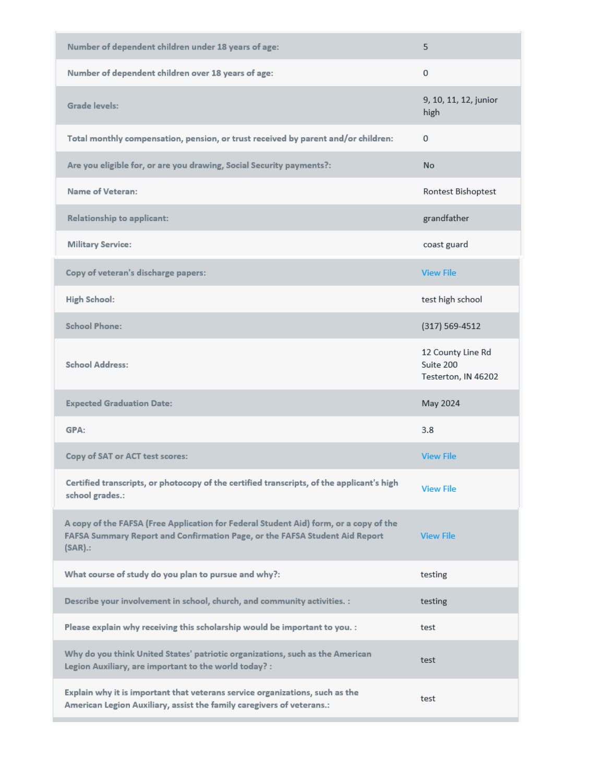| Number of dependent children under 18 years of age:                                                                                                                                | 5                                                     |
|------------------------------------------------------------------------------------------------------------------------------------------------------------------------------------|-------------------------------------------------------|
| Number of dependent children over 18 years of age:                                                                                                                                 | 0                                                     |
| Grade levels:                                                                                                                                                                      | 9, 10, 11, 12, junior<br>high                         |
| Total monthly compensation, pension, or trust received by parent and/or children:                                                                                                  | 0                                                     |
| Are you eligible for, or are you drawing, Social Security payments?:                                                                                                               | <b>No</b>                                             |
| Name of Veteran:                                                                                                                                                                   | Rontest Bishoptest                                    |
| Relationship to applicant:                                                                                                                                                         | grandfather                                           |
| <b>Military Service:</b>                                                                                                                                                           | coast guard                                           |
| Copy of veteran's discharge papers:                                                                                                                                                | <b>View File</b>                                      |
| <b>High School:</b>                                                                                                                                                                | test high school                                      |
| <b>School Phone:</b>                                                                                                                                                               | $(317) 569 - 4512$                                    |
| <b>School Address:</b>                                                                                                                                                             | 12 County Line Rd<br>Suite 200<br>Testerton, IN 46202 |
| <b>Expected Graduation Date:</b>                                                                                                                                                   | May 2024                                              |
| GPA:                                                                                                                                                                               | 3.8                                                   |
| Copy of SAT or ACT test scores:                                                                                                                                                    | <b>View File</b>                                      |
| Certified transcripts, or photocopy of the certified transcripts, of the applicant's high<br>school grades.:                                                                       | <b>View File</b>                                      |
| A copy of the FAFSA (Free Application for Federal Student Aid) form, or a copy of the<br>FAFSA Summary Report and Confirmation Page, or the FAFSA Student Aid Report<br>$(SAR)$ .: | <b>View File</b>                                      |
| What course of study do you plan to pursue and why?:                                                                                                                               | testing                                               |
| Describe your involvement in school, church, and community activities. :                                                                                                           | testing                                               |
| Please explain why receiving this scholarship would be important to you. :                                                                                                         | test                                                  |
| Why do you think United States' patriotic organizations, such as the American<br>Legion Auxiliary, are important to the world today? :                                             | test                                                  |
| Explain why it is important that veterans service organizations, such as the<br>American Legion Auxiliary, assist the family caregivers of veterans.:                              | test                                                  |